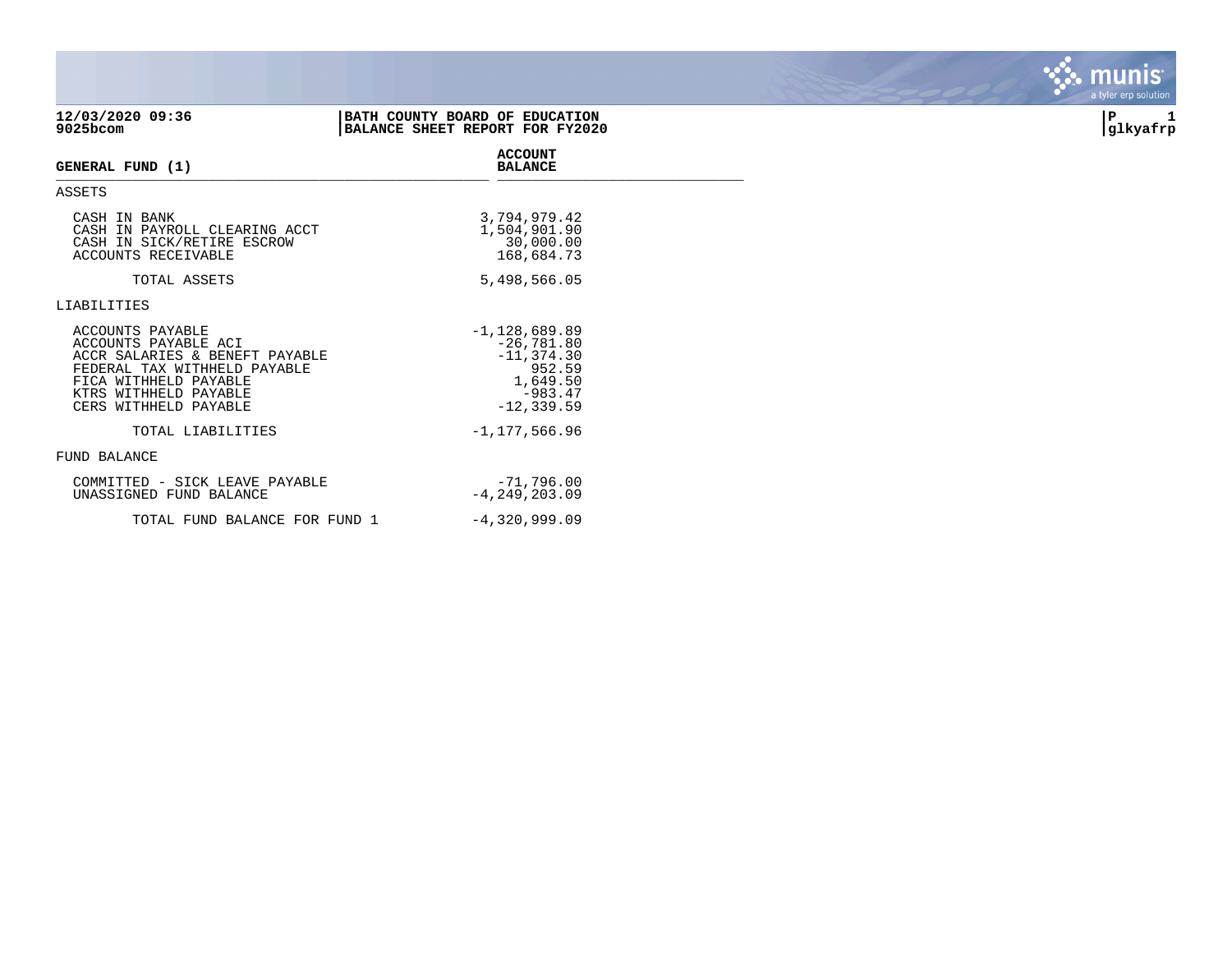| 12/03/2020 09:36<br>9025bcom                                                                                                                                                          | BATH COUNTY BOARD OF EDUCATION<br>BALANCE SHEET REPORT FOR FY2020                                    | P<br>glkyafrp |
|---------------------------------------------------------------------------------------------------------------------------------------------------------------------------------------|------------------------------------------------------------------------------------------------------|---------------|
| GENERAL FUND (1)                                                                                                                                                                      | <b>ACCOUNT</b><br><b>BALANCE</b>                                                                     |               |
| ASSETS                                                                                                                                                                                |                                                                                                      |               |
| CASH IN BANK<br>CASH IN PAYROLL CLEARING ACCT<br>CASH IN SICK/RETIRE ESCROW<br>ACCOUNTS RECEIVABLE                                                                                    | 3,794,979.42<br>1,504,901.90<br>30,000.00<br>168,684.73                                              |               |
| TOTAL ASSETS                                                                                                                                                                          | 5,498,566.05                                                                                         |               |
| LIABILITIES                                                                                                                                                                           |                                                                                                      |               |
| ACCOUNTS PAYABLE<br>ACCOUNTS PAYABLE ACI<br>ACCR SALARIES & BENEFT PAYABLE<br>FEDERAL TAX WITHHELD PAYABLE<br>FICA WITHHELD PAYABLE<br>KTRS WITHHELD PAYABLE<br>CERS WITHHELD PAYABLE | $-1,128,689.89$<br>$-26,781.80$<br>$-11, 374.30$<br>952.59<br>1,649.50<br>$-983.47$<br>$-12, 339.59$ |               |
| TOTAL LIABILITIES                                                                                                                                                                     | $-1, 177, 566.96$                                                                                    |               |
| FUND BALANCE                                                                                                                                                                          |                                                                                                      |               |
| COMMITTED - SICK LEAVE PAYABLE<br>UNASSIGNED FUND BALANCE                                                                                                                             | $-71,796.00$<br>$-4, 249, 203.09$                                                                    |               |
| TOTAL FUND BALANCE FOR FUND 1                                                                                                                                                         | $-4,320,999.09$                                                                                      |               |

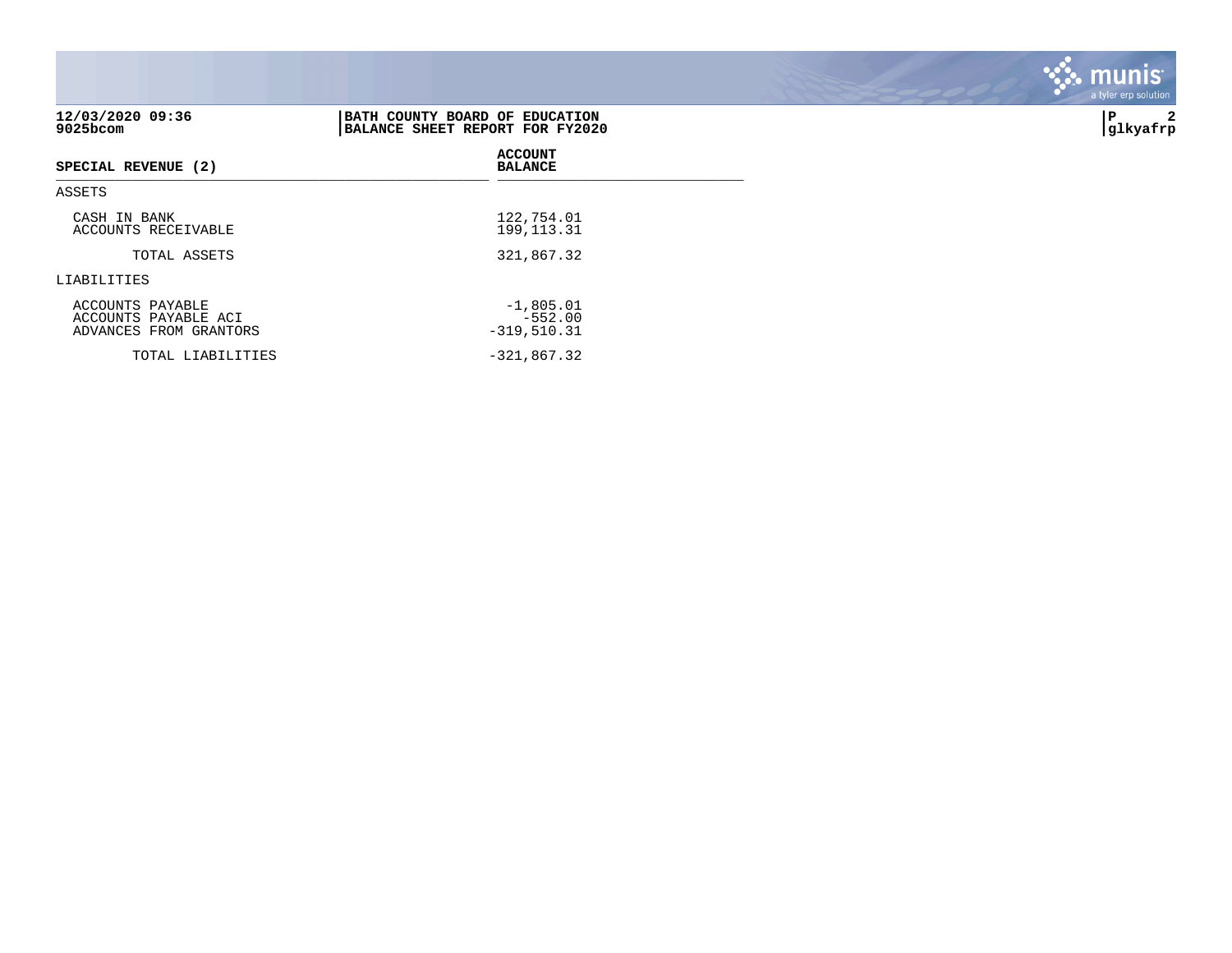| 12/03/2020 09:36<br>$9025$ bcom                                    | BATH COUNTY BOARD OF EDUCATION<br>BALANCE SHEET REPORT FOR FY2020 | 2<br>ΙP<br> glkyafrp |
|--------------------------------------------------------------------|-------------------------------------------------------------------|----------------------|
| SPECIAL REVENUE (2)                                                | <b>ACCOUNT</b><br><b>BALANCE</b>                                  |                      |
| ASSETS                                                             |                                                                   |                      |
| CASH IN BANK<br>ACCOUNTS RECEIVABLE                                | 122,754.01<br>199, 113. 31                                        |                      |
| TOTAL ASSETS                                                       | 321,867.32                                                        |                      |
| LIABILITIES                                                        |                                                                   |                      |
| ACCOUNTS PAYABLE<br>ACCOUNTS PAYABLE ACI<br>ADVANCES FROM GRANTORS | $-1,805.01$<br>$-552.00$<br>$-319,510.31$                         |                      |
| TOTAL LIABILITIES                                                  | $-321,867.32$                                                     |                      |

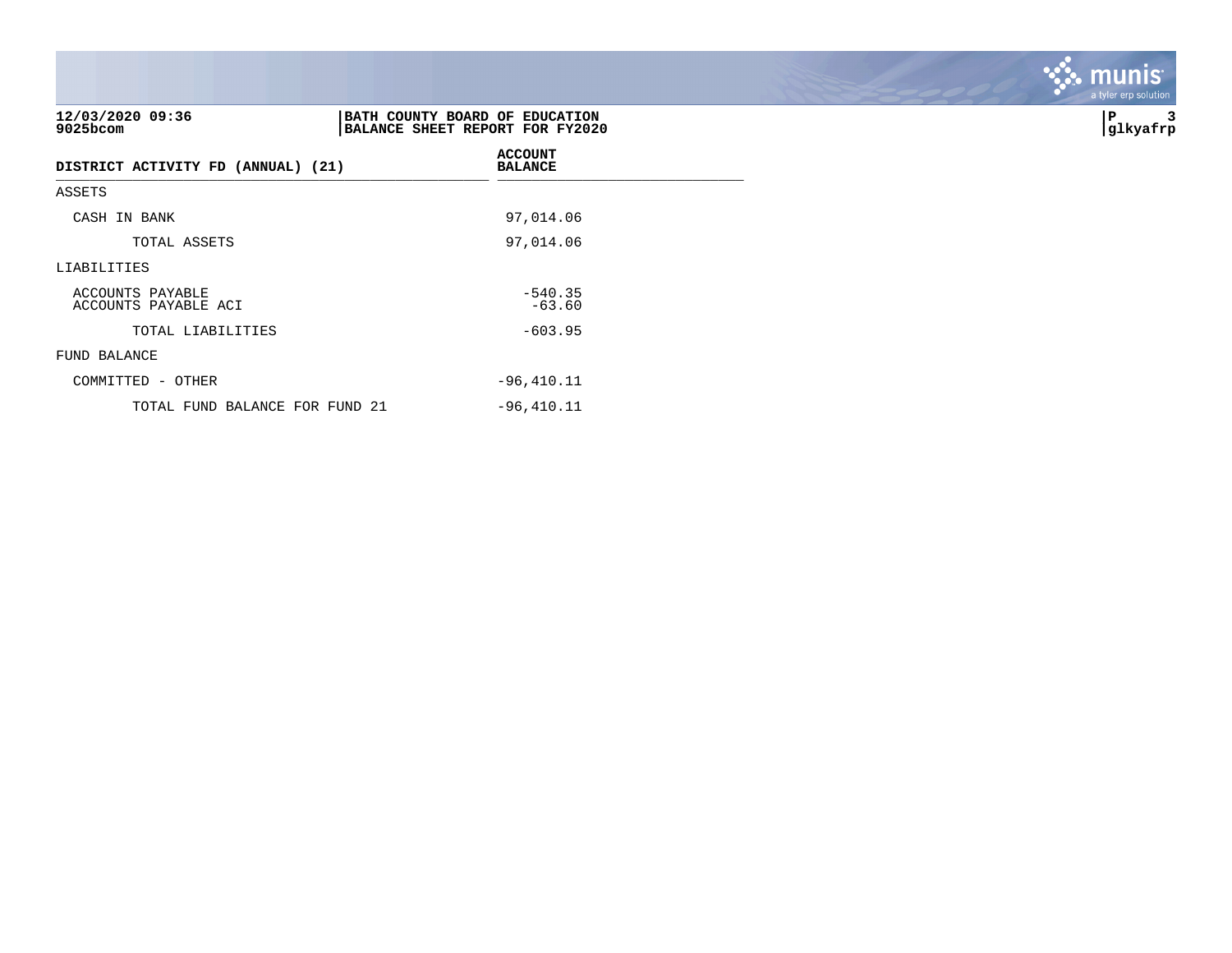| 12/03/2020 09:36<br>9025bcom             | BATH COUNTY BOARD OF EDUCATION<br>BALANCE SHEET REPORT FOR FY2020 | 3<br>∣P<br> glkyafrp |
|------------------------------------------|-------------------------------------------------------------------|----------------------|
| DISTRICT ACTIVITY FD (ANNUAL) (21)       | <b>ACCOUNT</b><br><b>BALANCE</b>                                  |                      |
| ASSETS                                   |                                                                   |                      |
| CASH IN BANK                             | 97,014.06                                                         |                      |
| TOTAL ASSETS                             | 97,014.06                                                         |                      |
| LIABILITIES                              |                                                                   |                      |
| ACCOUNTS PAYABLE<br>ACCOUNTS PAYABLE ACI | $-540.35$<br>$-63.60$                                             |                      |
| TOTAL LIABILITIES                        | $-603.95$                                                         |                      |
| FUND BALANCE                             |                                                                   |                      |
| COMMITTED - OTHER                        | $-96, 410.11$                                                     |                      |
| TOTAL FUND BALANCE FOR FUND 21           | $-96,410.11$                                                      |                      |

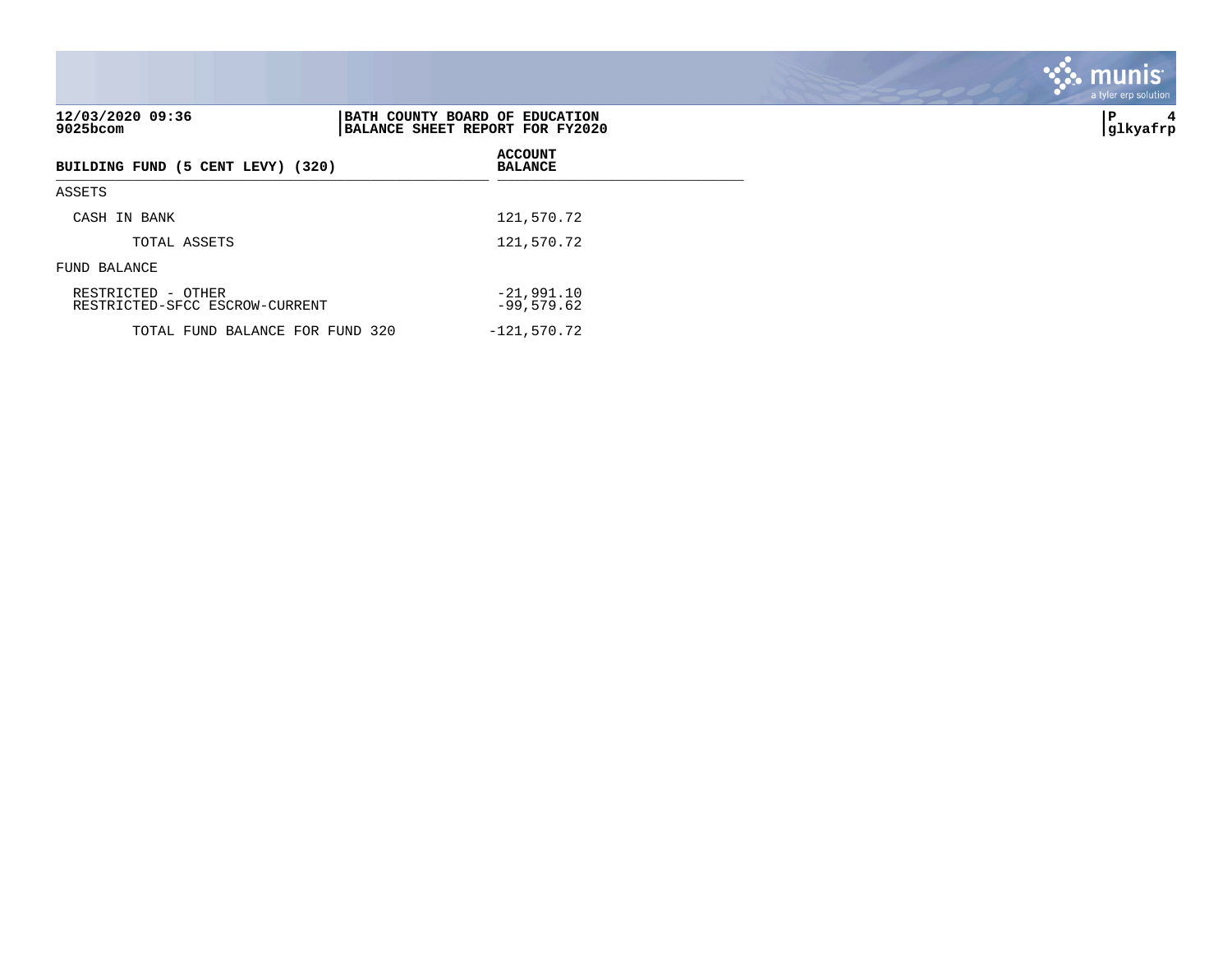| 12/03/2020 09:36<br>$9025$ bcom                      | BATH COUNTY BOARD OF EDUCATION<br>BALANCE SHEET REPORT FOR FY2020 | ∣P<br>4<br> glkyafrp |
|------------------------------------------------------|-------------------------------------------------------------------|----------------------|
| BUILDING FUND (5 CENT LEVY) (320)                    | <b>ACCOUNT</b><br><b>BALANCE</b>                                  |                      |
| ASSETS                                               |                                                                   |                      |
| CASH IN BANK                                         | 121,570.72                                                        |                      |
| TOTAL ASSETS                                         | 121,570.72                                                        |                      |
| FUND BALANCE                                         |                                                                   |                      |
| RESTRICTED - OTHER<br>RESTRICTED-SFCC ESCROW-CURRENT | $-21,991,10$<br>$-99,579.62$                                      |                      |
| TOTAL FUND BALANCE FOR FUND 320                      | $-121,570.72$                                                     |                      |

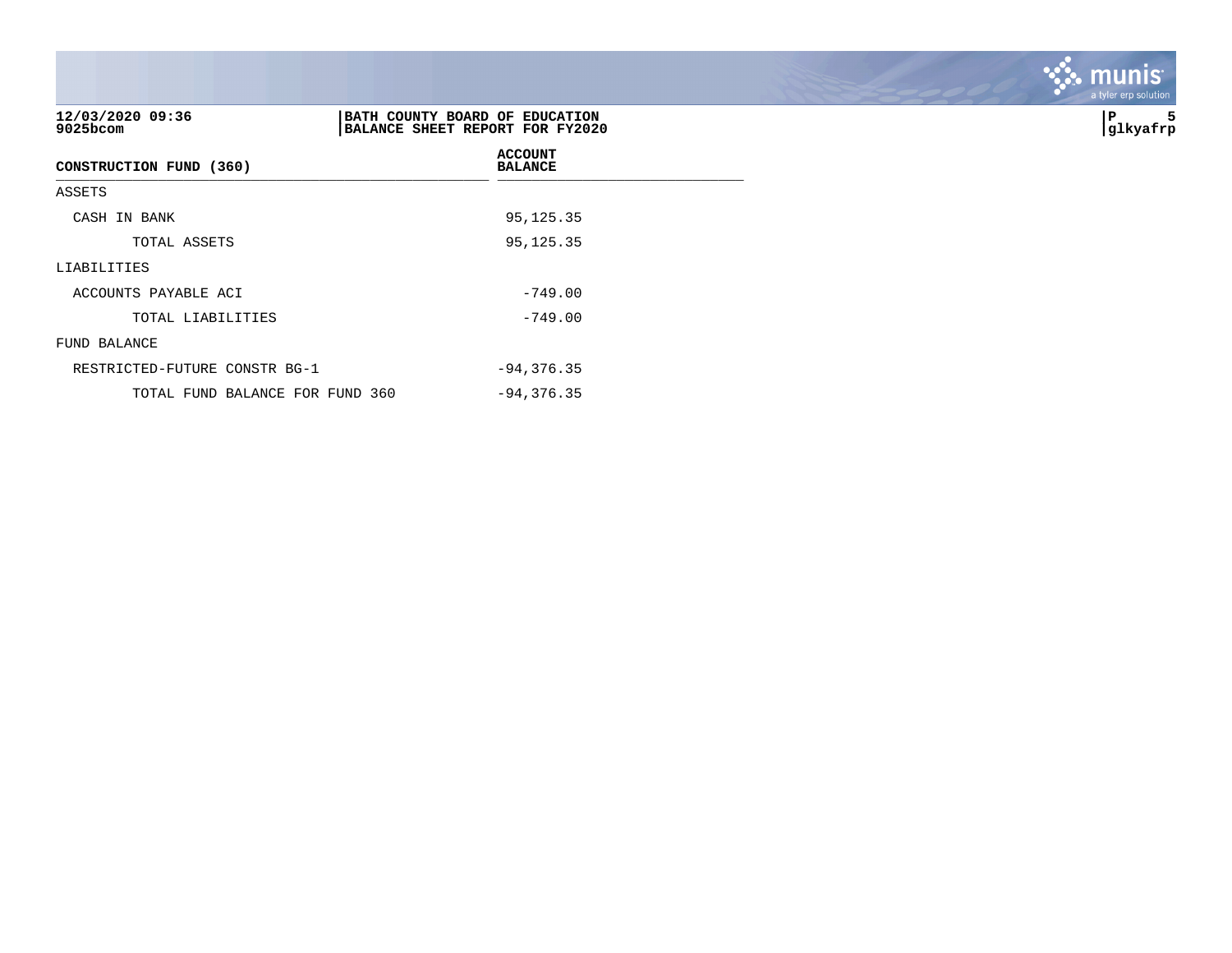| 12/03/2020 09:36<br>9025bcom    | BATH COUNTY BOARD OF EDUCATION<br>BALANCE SHEET REPORT FOR FY2020 | 5<br>P<br> glkyafrp |
|---------------------------------|-------------------------------------------------------------------|---------------------|
| CONSTRUCTION FUND (360)         | <b>ACCOUNT</b><br><b>BALANCE</b>                                  |                     |
| ASSETS                          |                                                                   |                     |
| CASH IN BANK                    | 95,125.35                                                         |                     |
| TOTAL ASSETS                    | 95,125.35                                                         |                     |
| LIABILITIES                     |                                                                   |                     |
| ACCOUNTS PAYABLE ACI            | $-749.00$                                                         |                     |
| TOTAL LIABILITIES               | $-749.00$                                                         |                     |
| FUND BALANCE                    |                                                                   |                     |
| RESTRICTED-FUTURE CONSTR BG-1   | $-94, 376.35$                                                     |                     |
| TOTAL FUND BALANCE FOR FUND 360 | $-94, 376.35$                                                     |                     |

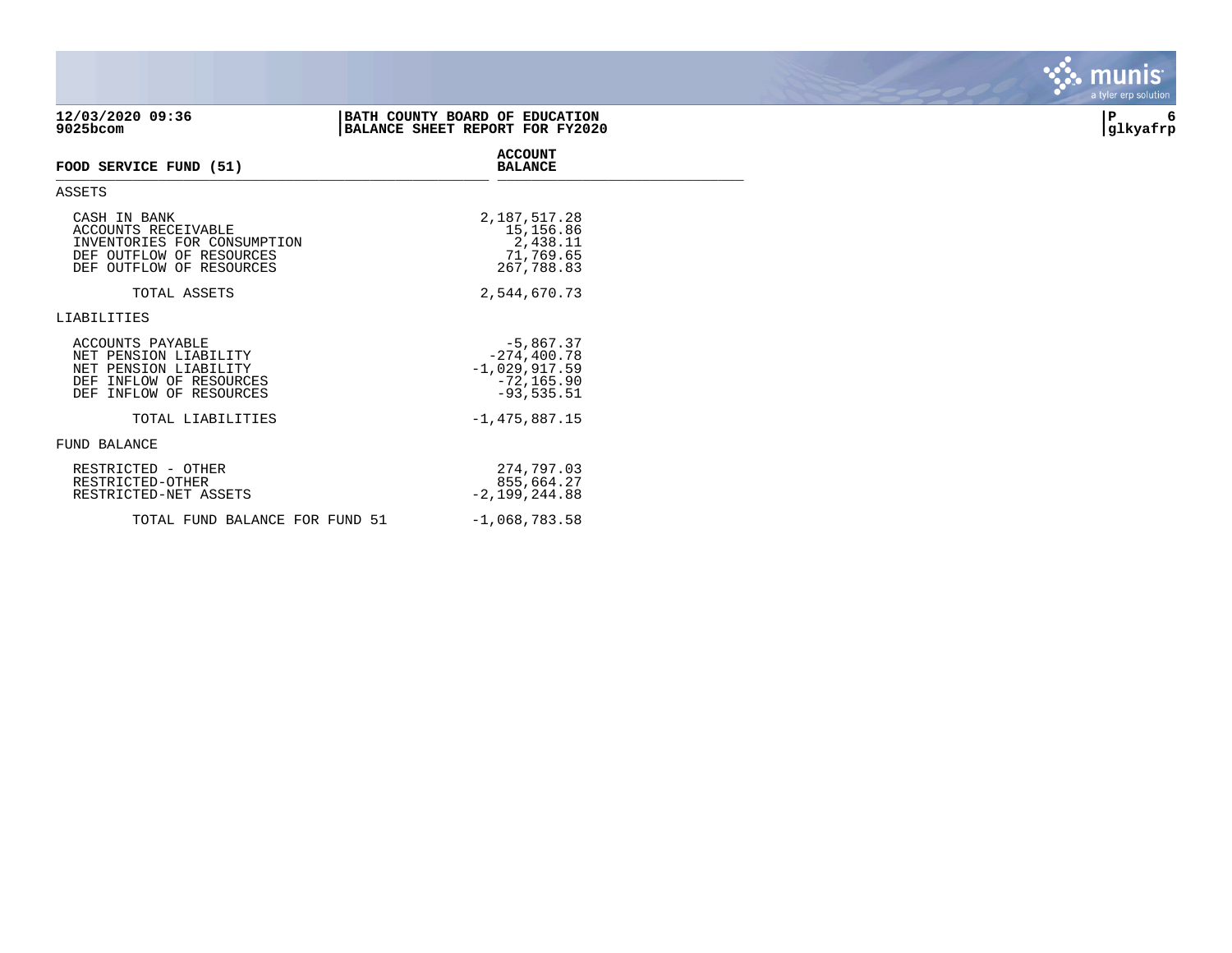| 12/03/2020 09:36<br>9025bcom                                                                                               | BATH COUNTY BOARD OF EDUCATION<br>BALANCE SHEET REPORT FOR FY2020                 | 6<br>P<br>glkyafrp |
|----------------------------------------------------------------------------------------------------------------------------|-----------------------------------------------------------------------------------|--------------------|
| FOOD SERVICE FUND (51)                                                                                                     | <b>ACCOUNT</b><br><b>BALANCE</b>                                                  |                    |
| ASSETS                                                                                                                     |                                                                                   |                    |
| CASH IN BANK<br>ACCOUNTS RECEIVABLE<br>INVENTORIES FOR CONSUMPTION<br>DEF OUTFLOW OF RESOURCES<br>DEF OUTFLOW OF RESOURCES | 2,187,517.28<br>15,156.86<br>2,438.11<br>71,769.65<br>267,788.83                  |                    |
| TOTAL ASSETS                                                                                                               | 2,544,670.73                                                                      |                    |
| LIABILITIES                                                                                                                |                                                                                   |                    |
| ACCOUNTS PAYABLE<br>NET PENSION LIABILITY<br>NET PENSION LIABILITY<br>DEF INFLOW OF RESOURCES<br>DEF INFLOW OF RESOURCES   | $-5,867.37$<br>$-274, 400.78$<br>$-1,029,917.59$<br>$-72, 165.90$<br>$-93,535.51$ |                    |
| TOTAL LIABILITIES                                                                                                          | $-1,475,887.15$                                                                   |                    |
| FUND BALANCE                                                                                                               |                                                                                   |                    |
| RESTRICTED - OTHER<br>RESTRICTED-OTHER<br>RESTRICTED-NET ASSETS                                                            | 274,797.03<br>855,664.27<br>$-2,199,244.88$                                       |                    |
| TOTAL FUND BALANCE FOR FUND 51                                                                                             | $-1,068,783.58$                                                                   |                    |

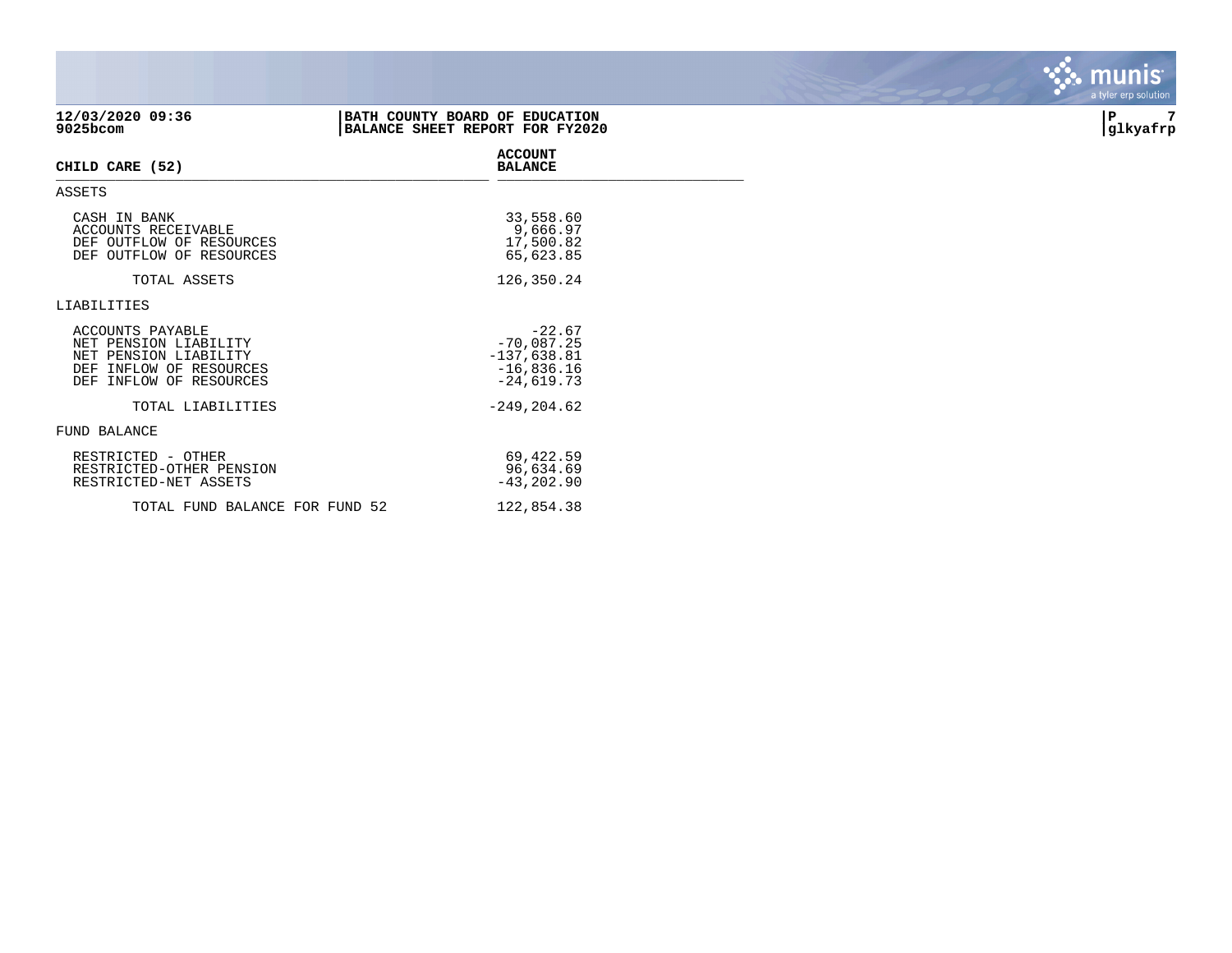| 12/03/2020 09:36<br>9025bcom                                                                                             | BATH COUNTY BOARD OF EDUCATION<br>BALANCE SHEET REPORT FOR FY2020         | 7<br>P<br> glkyafrp |
|--------------------------------------------------------------------------------------------------------------------------|---------------------------------------------------------------------------|---------------------|
| CHILD CARE (52)                                                                                                          | <b>ACCOUNT</b><br><b>BALANCE</b>                                          |                     |
| ASSETS                                                                                                                   |                                                                           |                     |
| CASH IN BANK<br><b>ACCOUNTS RECEIVABLE</b><br>DEF OUTFLOW OF RESOURCES<br>DEF OUTFLOW OF RESOURCES                       | 33,558.60<br>9,666.97<br>17,500.82<br>65,623.85                           |                     |
| TOTAL ASSETS                                                                                                             | 126,350.24                                                                |                     |
| LIABILITIES                                                                                                              |                                                                           |                     |
| ACCOUNTS PAYABLE<br>NET PENSION LIABILITY<br>NET PENSION LIABILITY<br>DEF INFLOW OF RESOURCES<br>DEF INFLOW OF RESOURCES | $-22.67$<br>$-70,087.25$<br>$-137,638.81$<br>$-16,836.16$<br>$-24,619.73$ |                     |
| TOTAL LIABILITIES                                                                                                        | $-249, 204.62$                                                            |                     |
| FUND BALANCE                                                                                                             |                                                                           |                     |
| RESTRICTED - OTHER<br>RESTRICTED-OTHER PENSION<br>RESTRICTED-NET ASSETS                                                  | 69,422.59<br>96,634.69<br>$-43, 202.90$                                   |                     |
| TOTAL FUND BALANCE FOR FUND 52                                                                                           | 122,854.38                                                                |                     |

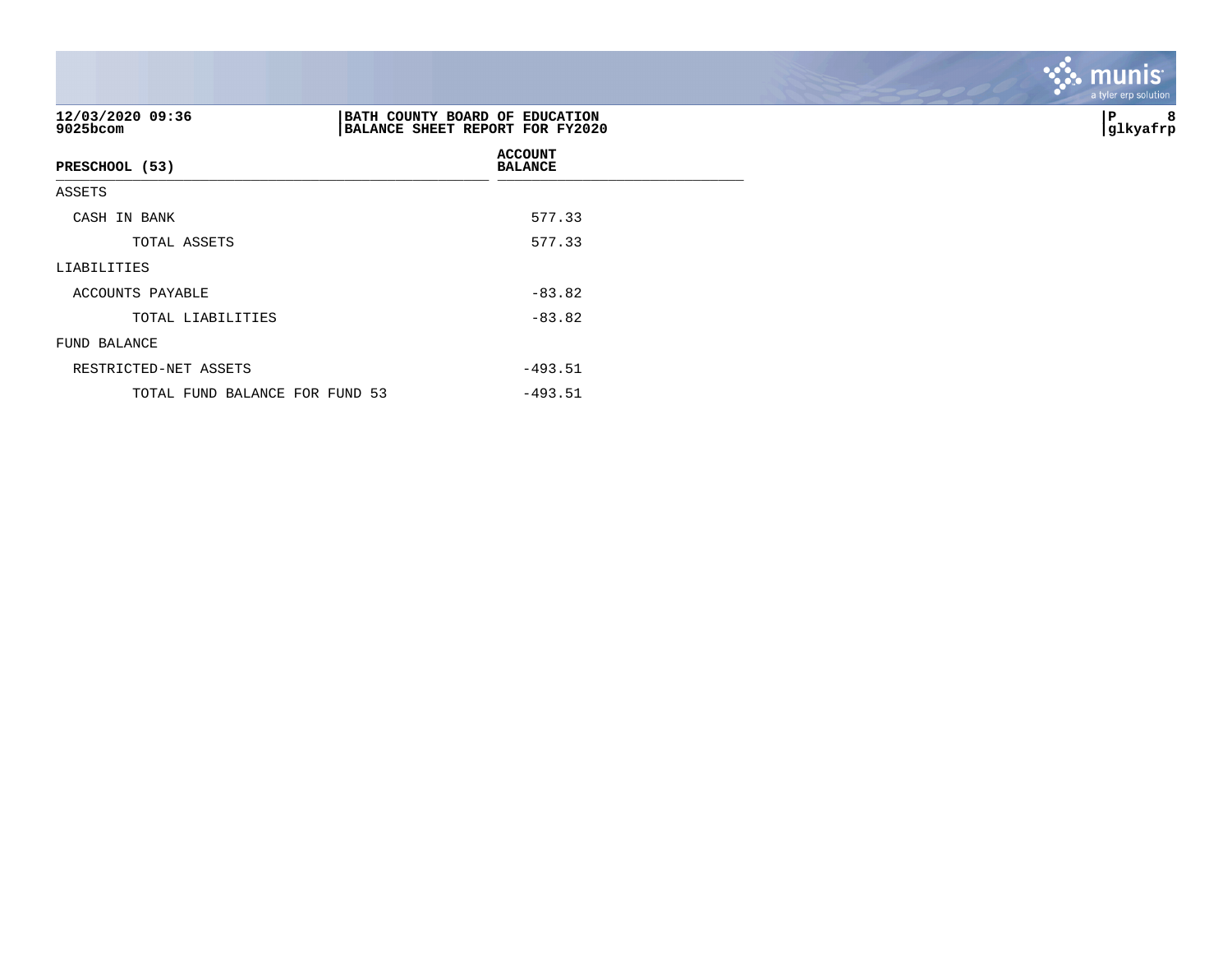| 12/03/2020 09:36<br>9025bcom   | BATH COUNTY BOARD OF EDUCATION<br>BALANCE SHEET REPORT FOR FY2020 | 8<br>P<br> glkyafrp |
|--------------------------------|-------------------------------------------------------------------|---------------------|
| PRESCHOOL (53)                 | <b>ACCOUNT</b><br><b>BALANCE</b>                                  |                     |
| ASSETS                         |                                                                   |                     |
| CASH IN BANK                   | 577.33                                                            |                     |
| TOTAL ASSETS                   | 577.33                                                            |                     |
| LIABILITIES                    |                                                                   |                     |
| ACCOUNTS PAYABLE               | $-83.82$                                                          |                     |
| TOTAL LIABILITIES              | $-83.82$                                                          |                     |
| FUND BALANCE                   |                                                                   |                     |
| RESTRICTED-NET ASSETS          | $-493.51$                                                         |                     |
| TOTAL FUND BALANCE FOR FUND 53 | $-493.51$                                                         |                     |

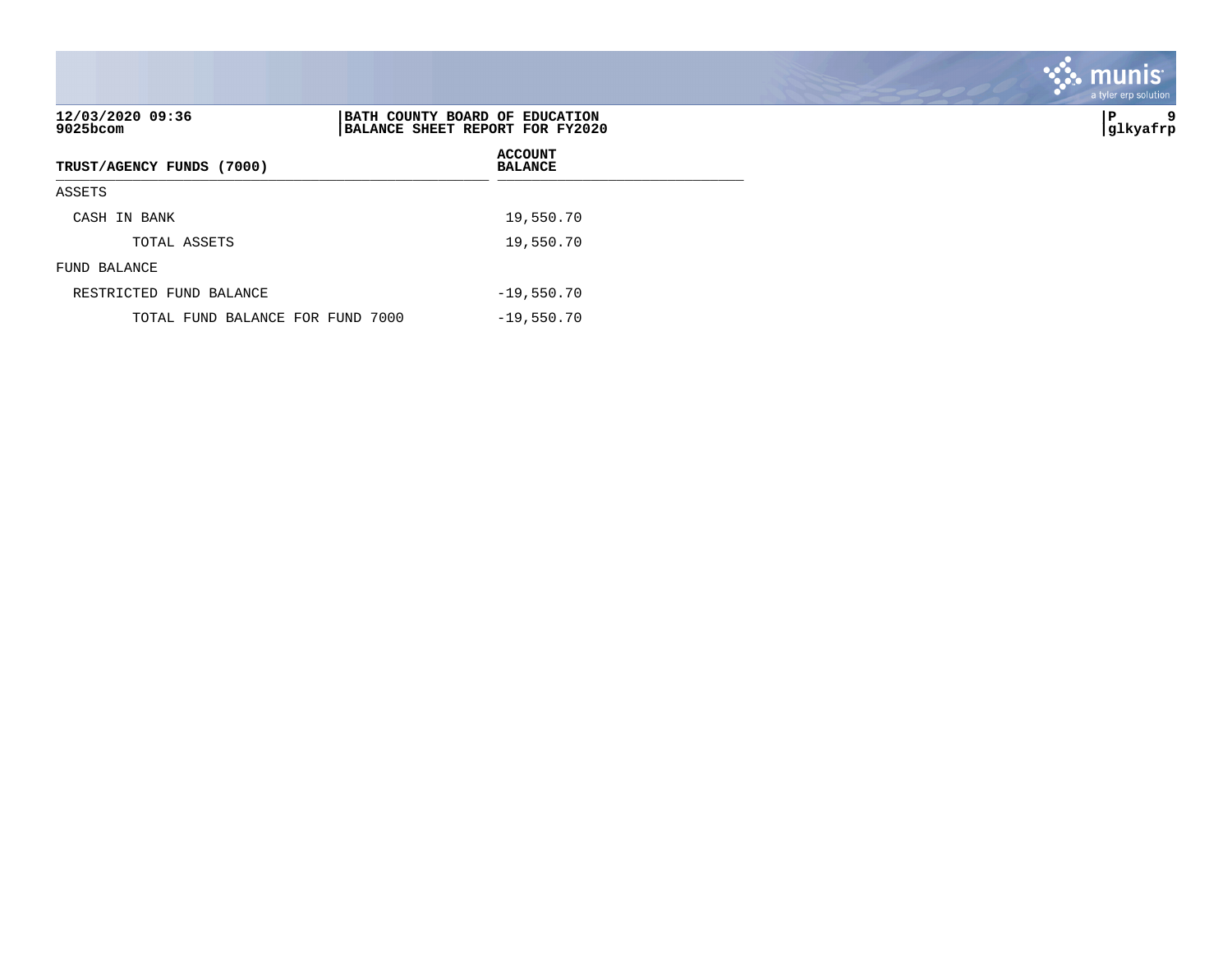| 12/03/2020 09:36<br>$9025$ bcom  | BATH COUNTY BOARD OF EDUCATION<br>BALANCE SHEET REPORT FOR FY2020 | 9<br>lΡ<br> glkyafrp |
|----------------------------------|-------------------------------------------------------------------|----------------------|
| TRUST/AGENCY FUNDS (7000)        | <b>ACCOUNT</b><br><b>BALANCE</b>                                  |                      |
| ASSETS                           |                                                                   |                      |
| CASH IN BANK                     | 19,550.70                                                         |                      |
| TOTAL ASSETS                     | 19,550.70                                                         |                      |
| FUND BALANCE                     |                                                                   |                      |
| RESTRICTED FUND BALANCE          | $-19,550.70$                                                      |                      |
| TOTAL FUND BALANCE FOR FUND 7000 | $-19,550.70$                                                      |                      |

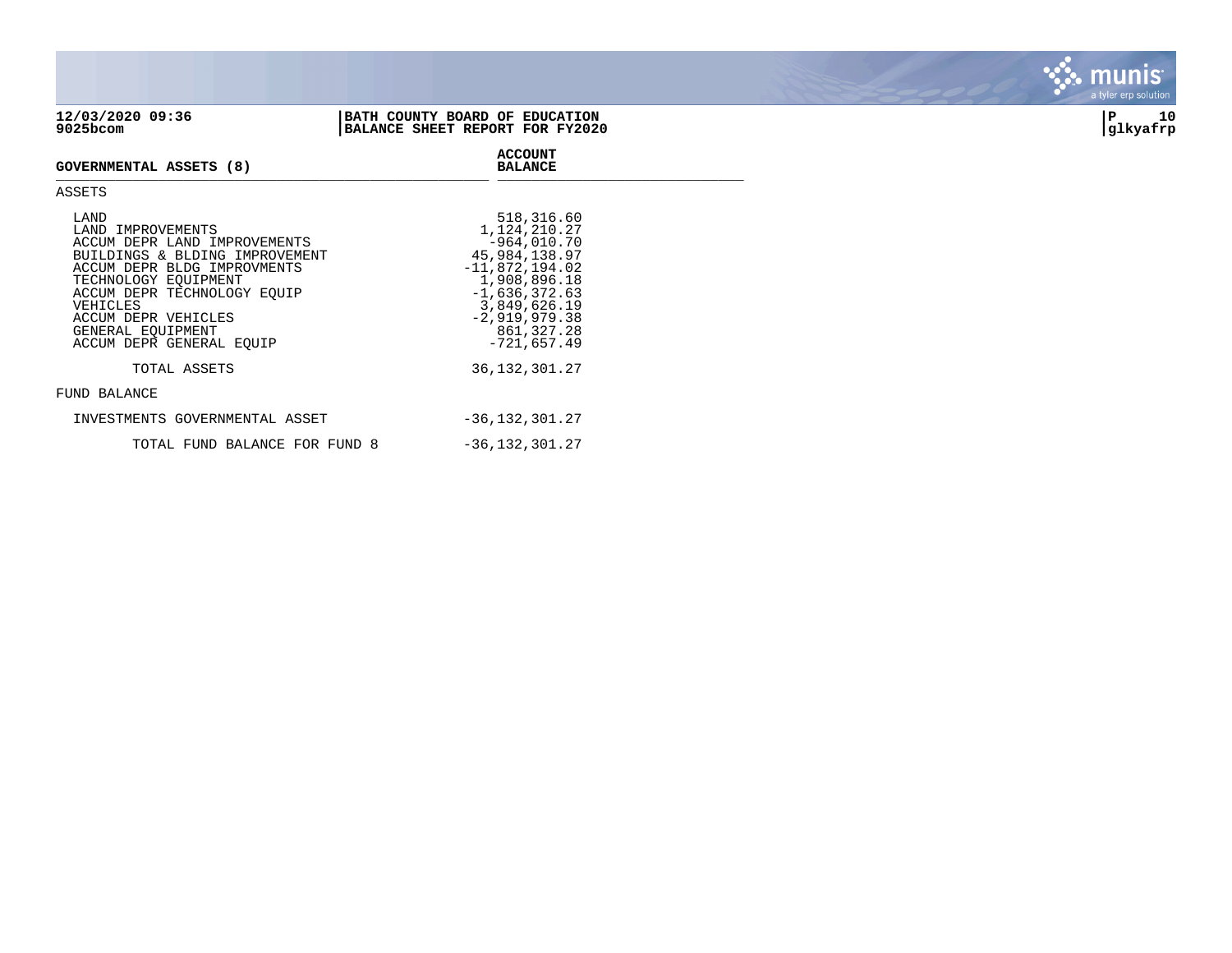| 12/03/2020 09:36<br>9025bcom                                                                                                                                                                                                                                          | BATH COUNTY BOARD OF EDUCATION<br>BALANCE SHEET REPORT FOR FY2020                                                                                                                      | 10<br>İΡ<br>glkyafrp |
|-----------------------------------------------------------------------------------------------------------------------------------------------------------------------------------------------------------------------------------------------------------------------|----------------------------------------------------------------------------------------------------------------------------------------------------------------------------------------|----------------------|
| <b>GOVERNMENTAL ASSETS (8)</b>                                                                                                                                                                                                                                        | <b>ACCOUNT</b><br><b>BALANCE</b>                                                                                                                                                       |                      |
| ASSETS                                                                                                                                                                                                                                                                |                                                                                                                                                                                        |                      |
| LAND<br>LAND IMPROVEMENTS<br>ACCUM DEPR LAND IMPROVEMENTS<br>BUILDINGS & BLDING IMPROVEMENT<br>ACCUM DEPR BLDG IMPROVMENTS<br>TECHNOLOGY EQUIPMENT<br>ACCUM DEPR TECHNOLOGY EQUIP<br>VEHICLES<br>ACCUM DEPR VEHICLES<br>GENERAL EQUIPMENT<br>ACCUM DEPR GENERAL EQUIP | 518,316.60<br>1,124,210.27<br>$-964,010.70$<br>45,984,138.97<br>$-11,872,194.02$<br>1,908,896.18<br>$-1,636,372.63$<br>3,849,626.19<br>$-2,919,979.38$<br>861, 327.28<br>$-721,657.49$ |                      |
| TOTAL ASSETS                                                                                                                                                                                                                                                          | 36, 132, 301. 27                                                                                                                                                                       |                      |
| FUND BALANCE                                                                                                                                                                                                                                                          |                                                                                                                                                                                        |                      |
| INVESTMENTS GOVERNMENTAL ASSET                                                                                                                                                                                                                                        | $-36, 132, 301.27$                                                                                                                                                                     |                      |

TOTAL FUND BALANCE FOR FUND 8  $-36,132,301.27$ 

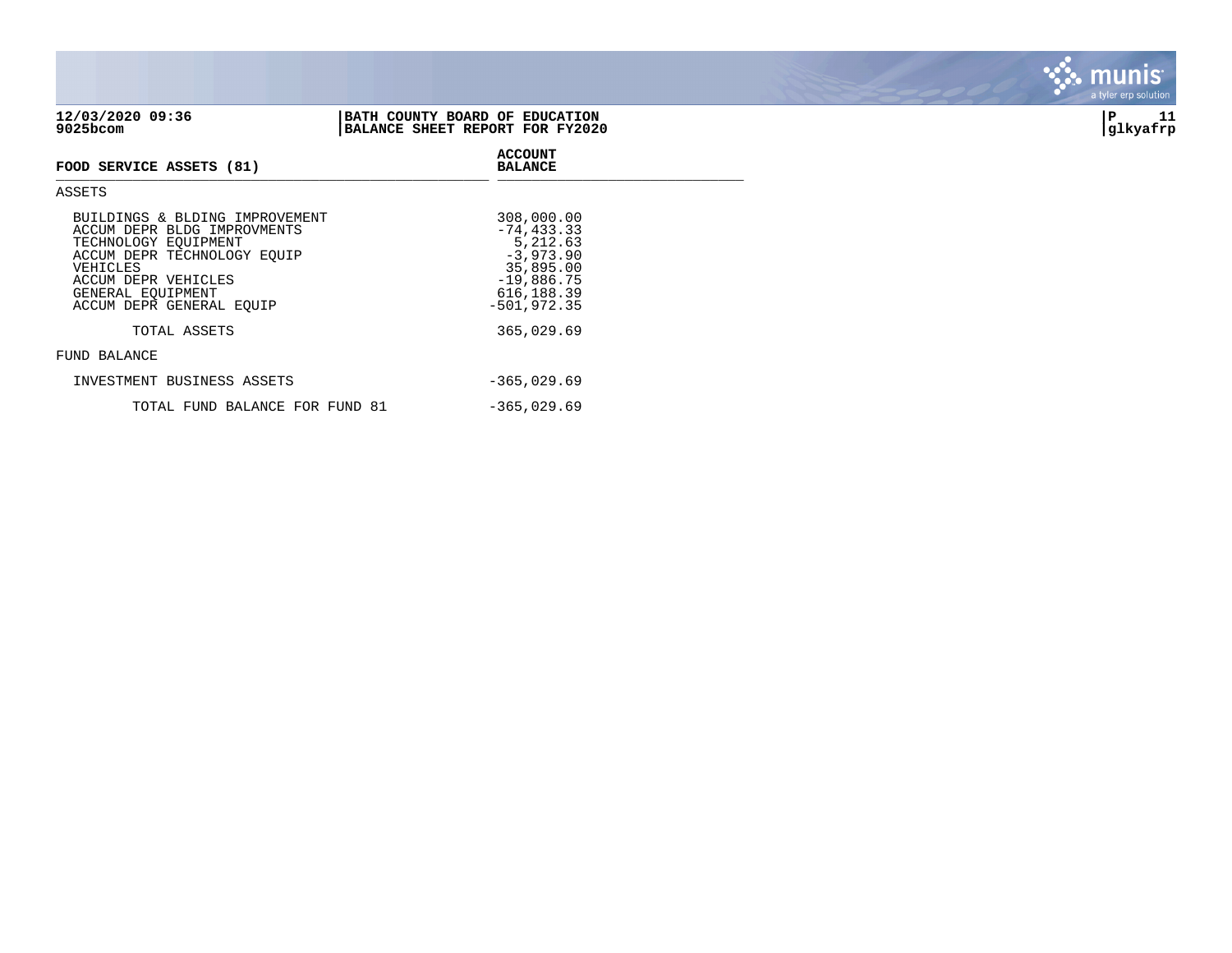| $+4$ , 09, 4040 09:90<br>9025bcom | 2011111 COUNTI DOINCE OI DEUCHIICH<br>BALANCE SHEET REPORT FOR FY2020 | --<br> glkyafrp |
|-----------------------------------|-----------------------------------------------------------------------|-----------------|
| FOOD SERVICE ASSETS (81)          | <b>ACCOUNT</b><br><b>BALANCE</b>                                      |                 |
| ASSETS                            |                                                                       |                 |
| BUILDINGS & BLDING IMPROVEMENT    | 308,000.00                                                            |                 |

| 12/03/2020 09:36 | I COUNTY BOARD OF EDUCATION<br>BATH       | ם       |  |
|------------------|-------------------------------------------|---------|--|
| 9025bcom         | SHEET REPORT FOR FY2020<br><b>BALANCE</b> | .kyafrp |  |

| <b>DUILULUS &amp; DULLINI IMPRUVENTINI</b> | 300,000.00     |
|--------------------------------------------|----------------|
| ACCUM DEPR BLDG IMPROVMENTS                | $-74, 433.33$  |
| TECHNOLOGY EOUIPMENT                       | 5,212.63       |
| ACCUM DEPR TECHNOLOGY EQUIP                | $-3,973.90$    |
| VEHICLES                                   | 35,895.00      |
| ACCUM DEPR VEHICLES                        | $-19,886.75$   |
| GENERAL EOUIPMENT                          | 616, 188.39    |
| ACCUM DEPR GENERAL EOUIP                   | $-501, 972.35$ |
|                                            |                |
| TOTAL ASSETS                               | 365,029.69     |
|                                            |                |
| FUND BALANCE                               |                |
|                                            |                |
| INVESTMENT BUSINESS ASSETS                 | $-365,029.69$  |
|                                            |                |
| TOTAL FUND BALANCE FOR FUND 81             | $-365,029.69$  |

**BASE** munis a tyler erp solution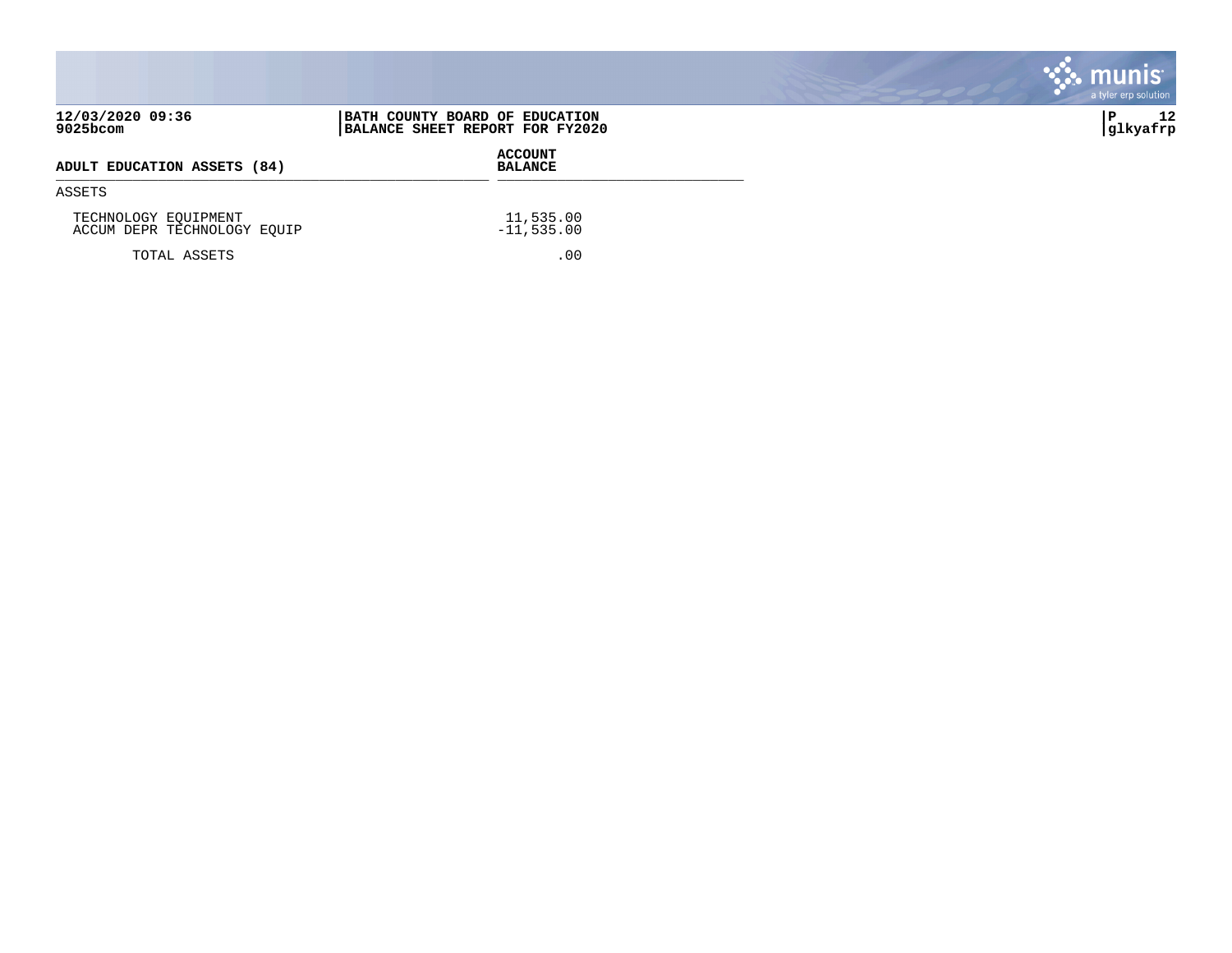|                                                     |                                                                   | <b>munis</b><br>a tyler erp solution |
|-----------------------------------------------------|-------------------------------------------------------------------|--------------------------------------|
| 12/03/2020 09:36<br>9025bcom                        | BATH COUNTY BOARD OF EDUCATION<br>BALANCE SHEET REPORT FOR FY2020 | 12<br>∣P<br> glkyafrp                |
| ADULT EDUCATION ASSETS (84)                         | <b>ACCOUNT</b><br><b>BALANCE</b>                                  |                                      |
| ASSETS                                              |                                                                   |                                      |
| TECHNOLOGY EQUIPMENT<br>ACCUM DEPR TECHNOLOGY EQUIP | 11,535.00<br>$-11,535.00$                                         |                                      |
| TOTAL ASSETS                                        | .00                                                               |                                      |